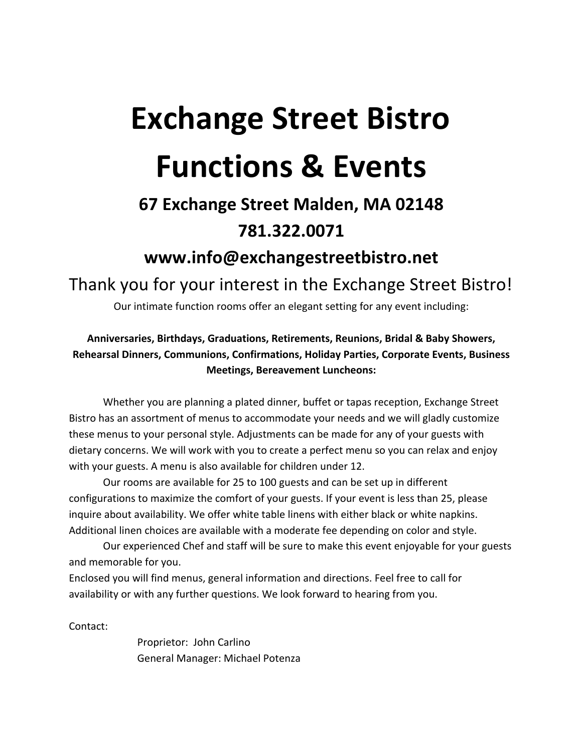# **Exchange Street Bistro Functions & Events**

### **67 Exchange Street Malden, MA 02148 781.322.0071**

### **www.info@exchangestreetbistro.net**

Thank you for your interest in the Exchange Street Bistro!

Our intimate function rooms offer an elegant setting for any event including:

#### Anniversaries, Birthdays, Graduations, Retirements, Reunions, Bridal & Baby Showers, Rehearsal Dinners, Communions, Confirmations, Holiday Parties, Corporate Events, Business **Meetings, Bereavement Luncheons:**

Whether you are planning a plated dinner, buffet or tapas reception, Exchange Street Bistro has an assortment of menus to accommodate your needs and we will gladly customize these menus to your personal style. Adjustments can be made for any of your guests with dietary concerns. We will work with you to create a perfect menu so you can relax and enjoy with your guests. A menu is also available for children under 12.

Our rooms are available for 25 to 100 guests and can be set up in different configurations to maximize the comfort of your guests. If your event is less than 25, please inquire about availability. We offer white table linens with either black or white napkins. Additional linen choices are available with a moderate fee depending on color and style.

Our experienced Chef and staff will be sure to make this event enjoyable for your guests and memorable for you.

Enclosed you will find menus, general information and directions. Feel free to call for availability or with any further questions. We look forward to hearing from you.

Contact: 

Proprietor: John Carlino General Manager: Michael Potenza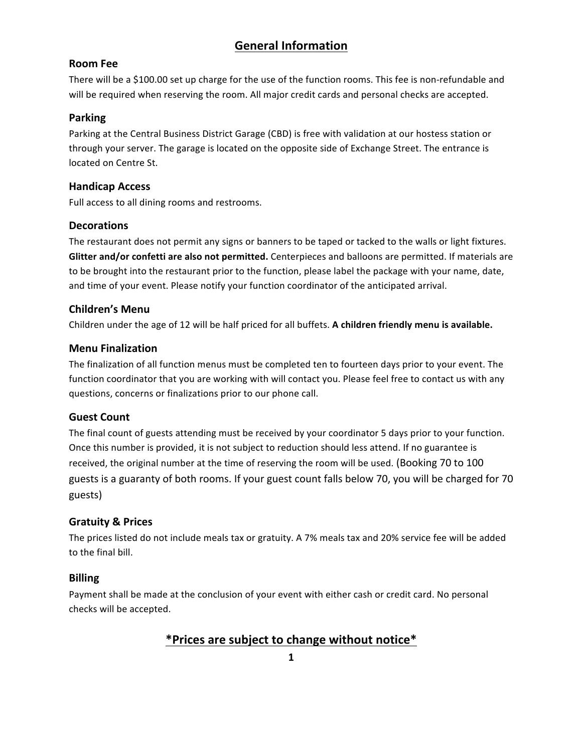#### **General Information**

#### **Room Fee**

There will be a \$100.00 set up charge for the use of the function rooms. This fee is non-refundable and will be required when reserving the room. All major credit cards and personal checks are accepted.

#### **Parking**

Parking at the Central Business District Garage (CBD) is free with validation at our hostess station or through your server. The garage is located on the opposite side of Exchange Street. The entrance is located on Centre St.

#### **Handicap Access**

Full access to all dining rooms and restrooms.

#### **Decorations**

The restaurant does not permit any signs or banners to be taped or tacked to the walls or light fixtures. **Glitter and/or confetti are also not permitted.** Centerpieces and balloons are permitted. If materials are to be brought into the restaurant prior to the function, please label the package with your name, date, and time of your event. Please notify your function coordinator of the anticipated arrival.

#### **Children's Menu**

Children under the age of 12 will be half priced for all buffets. A children friendly menu is available.

#### **Menu Finalization**

The finalization of all function menus must be completed ten to fourteen days prior to your event. The function coordinator that you are working with will contact you. Please feel free to contact us with any questions, concerns or finalizations prior to our phone call.

#### **Guest Count**

The final count of guests attending must be received by your coordinator 5 days prior to your function. Once this number is provided, it is not subject to reduction should less attend. If no guarantee is received, the original number at the time of reserving the room will be used. (Booking 70 to 100 guests is a guaranty of both rooms. If your guest count falls below 70, you will be charged for 70 guests)

#### **Gratuity & Prices**

The prices listed do not include meals tax or gratuity. A 7% meals tax and 20% service fee will be added to the final bill.

#### **Billing**

Payment shall be made at the conclusion of your event with either cash or credit card. No personal checks will be accepted.

#### **\*Prices are subject to change without notice\***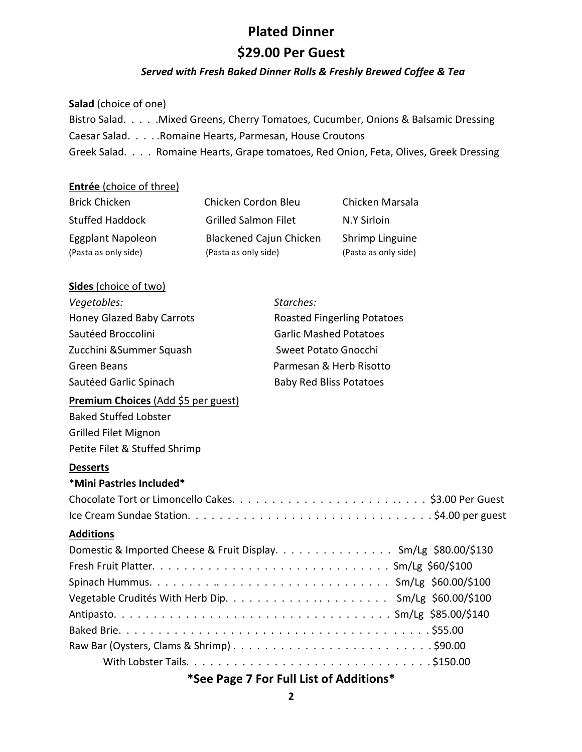#### **Plated Dinner**

#### **\$29.00 Per Guest**

#### Served with Fresh Baked Dinner Rolls & Freshly Brewed Coffee & Tea

#### **Salad** (choice of one)

Bistro Salad. . . . . Mixed Greens, Cherry Tomatoes, Cucumber, Onions & Balsamic Dressing Caesar Salad. . . . . Romaine Hearts, Parmesan, House Croutons Greek Salad. . . . Romaine Hearts, Grape tomatoes, Red Onion, Feta, Olives, Greek Dressing

#### **Entrée** (choice of three)

| <b>Brick Chicken</b>   | Chicken Cordon Bleu            | Chicken Marsala      |
|------------------------|--------------------------------|----------------------|
| <b>Stuffed Haddock</b> | <b>Grilled Salmon Filet</b>    | N.Y Sirloin          |
| Eggplant Napoleon      | <b>Blackened Cajun Chicken</b> | Shrimp Linguine      |
| (Pasta as only side)   | (Pasta as only side)           | (Pasta as only side) |

#### **Sides** (choice of two)

| Vegetables:                         | Starches:                                                       |
|-------------------------------------|-----------------------------------------------------------------|
| Honey Glazed Baby Carrots           | <b>Roasted Fingerling Potatoes</b>                              |
| Sautéed Broccolini                  | <b>Garlic Mashed Potatoes</b>                                   |
| Zucchini & Summer Squash            | <b>Sweet Potato Gnocchi</b>                                     |
| <b>Green Beans</b>                  | Parmesan & Herb Risotto                                         |
| Sautéed Garlic Spinach              | <b>Baby Red Bliss Potatoes</b>                                  |
| Premium Choices (Add \$5 per guest) |                                                                 |
| <b>Baked Stuffed Lobster</b>        |                                                                 |
| <b>Grilled Filet Mignon</b>         |                                                                 |
| Petite Filet & Stuffed Shrimp       |                                                                 |
| <b>Desserts</b>                     |                                                                 |
| *Mini Pastries Included*            |                                                                 |
|                                     |                                                                 |
|                                     |                                                                 |
| <b>Additions</b>                    |                                                                 |
|                                     | Domestic & Imported Cheese & Fruit Display. Sm/Lg \$80.00/\$130 |
|                                     |                                                                 |
|                                     |                                                                 |
|                                     |                                                                 |
|                                     |                                                                 |
|                                     |                                                                 |
|                                     |                                                                 |
|                                     |                                                                 |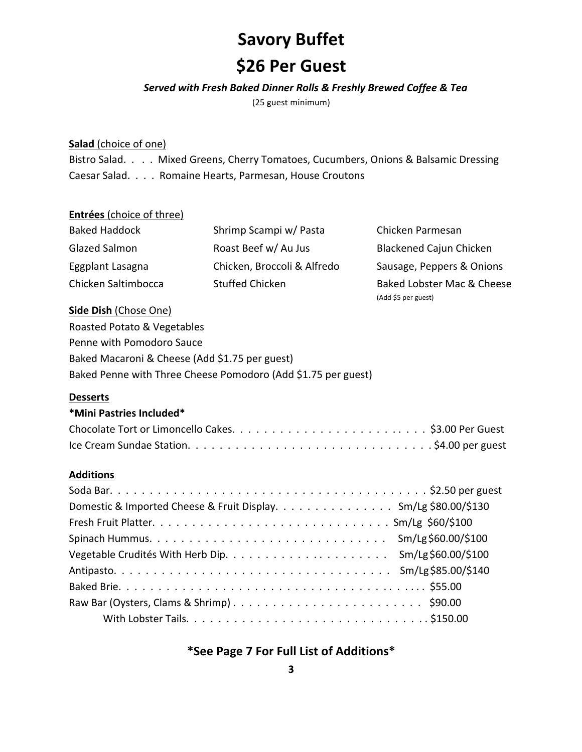### **Savory Buffet**

### **\$26 Per Guest**

#### Served with Fresh Baked Dinner Rolls & Freshly Brewed Coffee & Tea

(25 guest minimum)

#### **Salad** (choice of one)

Bistro Salad. . . . Mixed Greens, Cherry Tomatoes, Cucumbers, Onions & Balsamic Dressing Caesar Salad. . . . Romaine Hearts, Parmesan, House Croutons

#### **Entrées** (choice of three)

| <b>Baked Haddock</b> | Shrimp Scampi w/ Pasta      | Chicken Parmesan               |
|----------------------|-----------------------------|--------------------------------|
| Glazed Salmon        | Roast Beef w/ Au Jus        | <b>Blackened Cajun Chicken</b> |
| Eggplant Lasagna     | Chicken, Broccoli & Alfredo | Sausage, Peppers & Onions      |
| Chicken Saltimbocca  | <b>Stuffed Chicken</b>      | Baked Lobster Mac & Cheese     |
|                      |                             | (Add \$5 per guest)            |

#### **Side Dish (Chose One)**

Roasted Potato & Vegetables Penne with Pomodoro Sauce Baked Macaroni & Cheese (Add \$1.75 per guest) Baked Penne with Three Cheese Pomodoro (Add \$1.75 per guest)

#### **Desserts**

#### **\*Mini Pastries Included\***

#### **Additions**

| Domestic & Imported Cheese & Fruit Display. Sm/Lg \$80.00/\$130 |
|-----------------------------------------------------------------|
|                                                                 |
|                                                                 |
|                                                                 |
|                                                                 |
|                                                                 |
|                                                                 |
|                                                                 |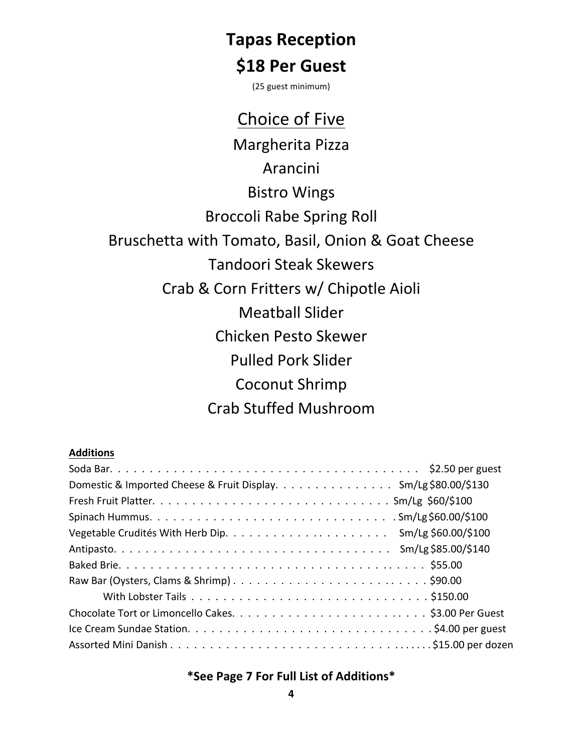### **Tapas Reception**

### **\$18 Per Guest**

(25 guest minimum)

### Choice of Five

Margherita Pizza Arancini **Bistro Wings Broccoli Rabe Spring Roll** Bruschetta with Tomato, Basil, Onion & Goat Cheese Tandoori Steak Skewers Crab & Corn Fritters w/ Chipotle Aioli **Meatball Slider** Chicken Pesto Skewer Pulled Pork Slider Coconut Shrimp Crab Stuffed Mushroom

#### **Additions**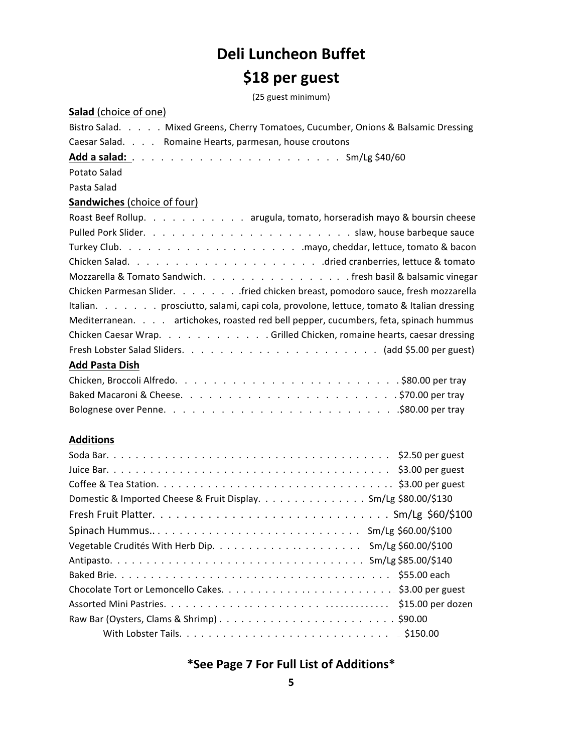### **Deli Luncheon Buffet**

### **\$18 per guest**

(25 guest minimum)

| <b>Salad</b> (choice of one)                                                          |
|---------------------------------------------------------------------------------------|
| Bistro Salad. Mixed Greens, Cherry Tomatoes, Cucumber, Onions & Balsamic Dressing     |
| Caesar Salad. Romaine Hearts, parmesan, house croutons                                |
|                                                                                       |
| Potato Salad                                                                          |
| Pasta Salad                                                                           |
| <b>Sandwiches</b> (choice of four)                                                    |
| Roast Beef Rollup. arugula, tomato, horseradish mayo & boursin cheese                 |
|                                                                                       |
|                                                                                       |
|                                                                                       |
| Mozzarella & Tomato Sandwich. fresh basil & balsamic vinegar                          |
| Chicken Parmesan Slider. fried chicken breast, pomodoro sauce, fresh mozzarella       |
| Italian. prosciutto, salami, capi cola, provolone, lettuce, tomato & Italian dressing |
| Mediterranean. artichokes, roasted red bell pepper, cucumbers, feta, spinach hummus   |
| Chicken Caesar Wrap. Grilled Chicken, romaine hearts, caesar dressing                 |
|                                                                                       |
| <b>Add Pasta Dish</b>                                                                 |
|                                                                                       |
|                                                                                       |
|                                                                                       |
|                                                                                       |
| <b>Additions</b>                                                                      |
| $\zeta$<br>$C = A - D = r$                                                            |

| Domestic & Imported Cheese & Fruit DisplaySm/Lg \$80.00/\$130 |
|---------------------------------------------------------------|
|                                                               |
|                                                               |
|                                                               |
|                                                               |
|                                                               |
|                                                               |
|                                                               |
|                                                               |
|                                                               |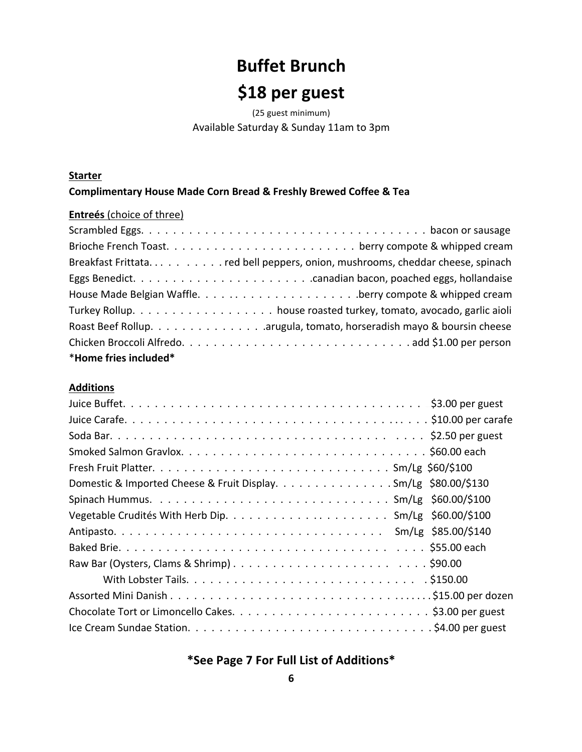# **Buffet Brunch**

### \$18 per guest

(25 guest minimum) Available Saturday & Sunday 11am to 3pm

#### **Starter**

#### Complimentary House Made Corn Bread & Freshly Brewed Coffee & Tea

#### Entreés (choice of three)

| *Home fries included* |
|-----------------------|

#### **Additions**

| Domestic & Imported Cheese & Fruit Display. Sm/Lg \$80.00/\$130 |
|-----------------------------------------------------------------|
|                                                                 |
|                                                                 |
|                                                                 |
|                                                                 |
|                                                                 |
|                                                                 |
|                                                                 |
|                                                                 |
|                                                                 |

### \*See Page 7 For Full List of Additions\*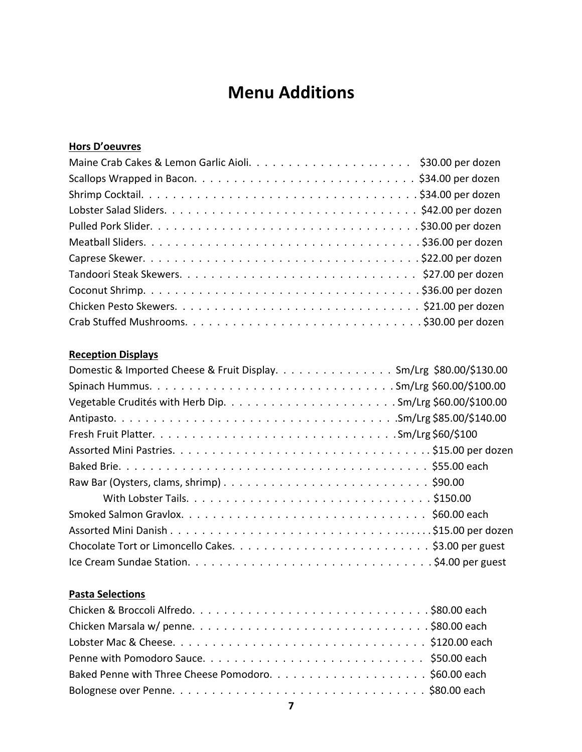### **Menu Additions**

#### **Hors D'oeuvres**

#### **Reception Displays**

| Domestic & Imported Cheese & Fruit Display. Sm/Lrg \$80.00/\$130.00 |
|---------------------------------------------------------------------|
|                                                                     |
|                                                                     |
|                                                                     |
|                                                                     |
|                                                                     |
|                                                                     |
|                                                                     |
|                                                                     |
|                                                                     |
|                                                                     |
|                                                                     |
|                                                                     |

#### **Pasta Selections**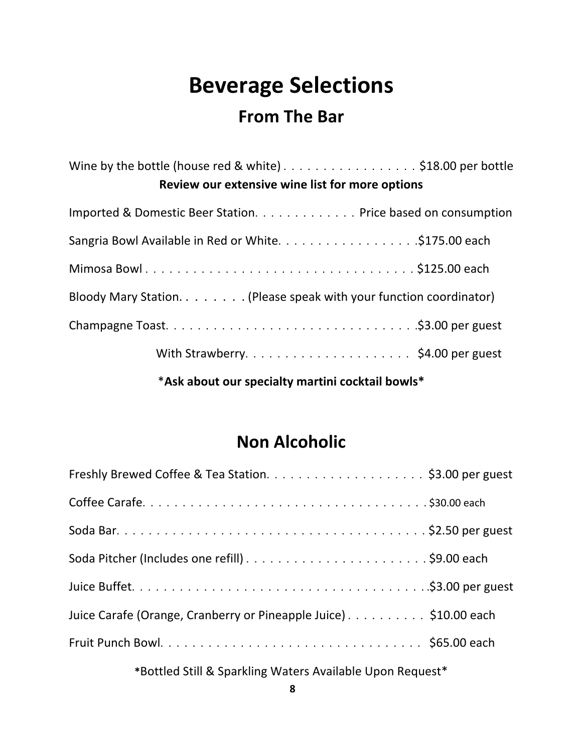# **Beverage Selections**

### **From The Bar**

Wine by the bottle (house red & white)  $\dots \dots \dots \dots \dots \dots$  \$18.00 per bottle **Review our extensive wine list for more options** Imported & Domestic Beer Station. . . . . . . . . . . . . Price based on consumption Sangria Bowl Available in Red or White. . . . . . . . . . . . . . . . . ..\$175.00 each Mimosa Bowl . . . . . . . . . . . . . . . . . . . . . . . . . . . . . . . . . . . ..\$125.00 each Bloody Mary Station.  $\dots$ .... (Please speak with your function coordinator) Champagne Toast. . . . . . . . . . . . . . . . . . . . . . . . . . . . . . . .\$3.00 per guest With Strawberry.  $\dots \dots \dots \dots \dots \dots \dots \dots \cdot$ \$4.00 per guest

\***Ask about our specialty martini cocktail bowls\***

### **Non Alcoholic**

| Juice Carafe (Orange, Cranberry or Pineapple Juice) \$10.00 each |
|------------------------------------------------------------------|
|                                                                  |
|                                                                  |

**\***Bottled Still & Sparkling Waters Available Upon Request\*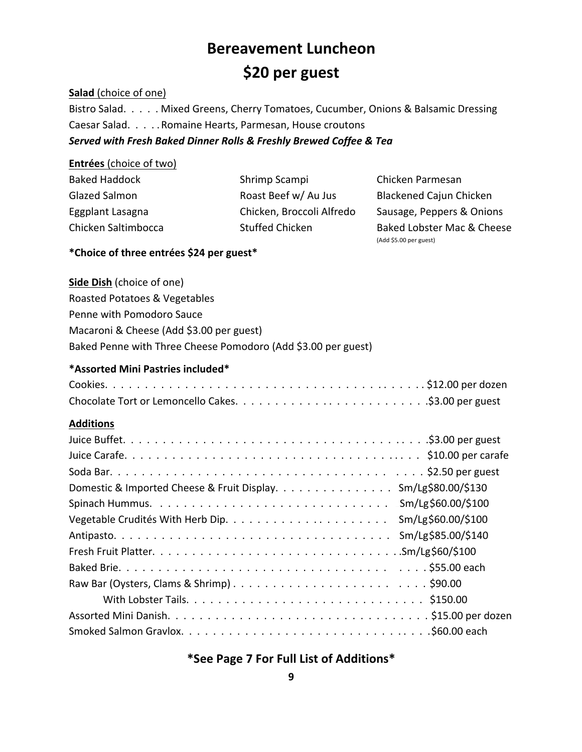### **Bereavement Luncheon \$20 per guest**

#### **Salad** (choice of one)

Bistro Salad. . . . . Mixed Greens, Cherry Tomatoes, Cucumber, Onions & Balsamic Dressing Caesar Salad. . . . . Romaine Hearts, Parmesan, House croutons Served with Fresh Baked Dinner Rolls & Freshly Brewed Coffee & Tea

#### **Entrées** (choice of two)

| <b>Baked Haddock</b> | Shrimp Scampi             | Chicken Parmesan               |
|----------------------|---------------------------|--------------------------------|
| <b>Glazed Salmon</b> | Roast Beef w/ Au Jus      | <b>Blackened Cajun Chicken</b> |
| Eggplant Lasagna     | Chicken, Broccoli Alfredo | Sausage, Peppers & Onions      |
| Chicken Saltimbocca  | <b>Stuffed Chicken</b>    | Baked Lobster Mac & Cheese     |
|                      |                           | (Add \$5.00 per guest)         |

#### **\*Choice of three entrées \$24 per guest\***

**Side Dish** (choice of one) Roasted Potatoes & Vegetables Penne with Pomodoro Sauce Macaroni & Cheese (Add \$3.00 per guest) Baked Penne with Three Cheese Pomodoro (Add \$3.00 per guest)

#### **\*Assorted Mini Pastries included\***

#### **Additions**